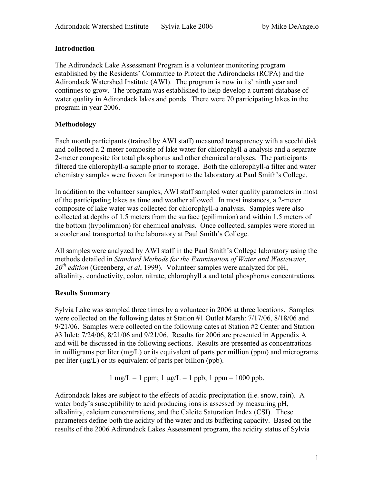# **Introduction**

The Adirondack Lake Assessment Program is a volunteer monitoring program established by the Residents' Committee to Protect the Adirondacks (RCPA) and the Adirondack Watershed Institute (AWI). The program is now in its' ninth year and continues to grow. The program was established to help develop a current database of water quality in Adirondack lakes and ponds. There were 70 participating lakes in the program in year 2006.

# **Methodology**

Each month participants (trained by AWI staff) measured transparency with a secchi disk and collected a 2-meter composite of lake water for chlorophyll-a analysis and a separate 2-meter composite for total phosphorus and other chemical analyses. The participants filtered the chlorophyll-a sample prior to storage. Both the chlorophyll-a filter and water chemistry samples were frozen for transport to the laboratory at Paul Smith's College.

In addition to the volunteer samples, AWI staff sampled water quality parameters in most of the participating lakes as time and weather allowed. In most instances, a 2-meter composite of lake water was collected for chlorophyll-a analysis. Samples were also collected at depths of 1.5 meters from the surface (epilimnion) and within 1.5 meters of the bottom (hypolimnion) for chemical analysis. Once collected, samples were stored in a cooler and transported to the laboratory at Paul Smith's College.

All samples were analyzed by AWI staff in the Paul Smith's College laboratory using the methods detailed in *Standard Methods for the Examination of Water and Wastewater,*  20<sup>th</sup> edition (Greenberg, et al, 1999). Volunteer samples were analyzed for pH, alkalinity, conductivity, color, nitrate, chlorophyll a and total phosphorus concentrations.

# **Results Summary**

Sylvia Lake was sampled three times by a volunteer in 2006 at three locations. Samples were collected on the following dates at Station #1 Outlet Marsh: 7/17/06, 8/18/06 and  $9/21/06$ . Samples were collected on the following dates at Station  $\#2$  Center and Station #3 Inlet: 7/24/06, 8/21/06 and 9/21/06. Results for 2006 are presented in Appendix A and will be discussed in the following sections. Results are presented as concentrations in milligrams per liter  $(mg/L)$  or its equivalent of parts per million (ppm) and micrograms per liter  $(\mu g/L)$  or its equivalent of parts per billion (ppb).

 $1 \text{ mg/L} = 1 \text{ ppm}; 1 \text{ µg/L} = 1 \text{ ppb}; 1 \text{ ppm} = 1000 \text{ ppb}.$ 

Adirondack lakes are subject to the effects of acidic precipitation (i.e. snow, rain). A water body's susceptibility to acid producing ions is assessed by measuring pH, alkalinity, calcium concentrations, and the Calcite Saturation Index (CSI). These parameters define both the acidity of the water and its buffering capacity. Based on the results of the 2006 Adirondack Lakes Assessment program, the acidity status of Sylvia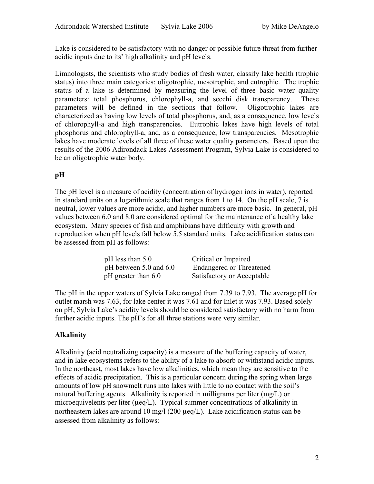Lake is considered to be satisfactory with no danger or possible future threat from further acidic inputs due to its' high alkalinity and pH levels.

Limnologists, the scientists who study bodies of fresh water, classify lake health (trophic status) into three main categories: oligotrophic, mesotrophic, and eutrophic. The trophic status of a lake is determined by measuring the level of three basic water quality parameters: total phosphorus, chlorophyll-a, and secchi disk transparency. These parameters will be defined in the sections that follow. Oligotrophic lakes are characterized as having low levels of total phosphorus, and, as a consequence, low levels of chlorophyll-a and high transparencies. Eutrophic lakes have high levels of total phosphorus and chlorophyll-a, and, as a consequence, low transparencies. Mesotrophic lakes have moderate levels of all three of these water quality parameters. Based upon the results of the 2006 Adirondack Lakes Assessment Program, Sylvia Lake is considered to be an oligotrophic water body.

# **pH**

The pH level is a measure of acidity (concentration of hydrogen ions in water), reported in standard units on a logarithmic scale that ranges from 1 to 14. On the pH scale, 7 is neutral, lower values are more acidic, and higher numbers are more basic. In general, pH values between 6.0 and 8.0 are considered optimal for the maintenance of a healthy lake ecosystem. Many species of fish and amphibians have difficulty with growth and reproduction when pH levels fall below 5.5 standard units. Lake acidification status can be assessed from pH as follows:

| $pH$ less than 5.0         | Critical or Impaired            |
|----------------------------|---------------------------------|
| pH between $5.0$ and $6.0$ | <b>Endangered or Threatened</b> |
| $pH$ greater than 6.0      | Satisfactory or Acceptable      |

The pH in the upper waters of Sylvia Lake ranged from 7.39 to 7.93. The average pH for outlet marsh was 7.63, for lake center it was 7.61 and for Inlet it was 7.93. Based solely on pH, Sylvia Lake's acidity levels should be considered satisfactory with no harm from further acidic inputs. The pH's for all three stations were very similar.

# **Alkalinity**

Alkalinity (acid neutralizing capacity) is a measure of the buffering capacity of water, and in lake ecosystems refers to the ability of a lake to absorb or withstand acidic inputs. In the northeast, most lakes have low alkalinities, which mean they are sensitive to the effects of acidic precipitation. This is a particular concern during the spring when large amounts of low pH snowmelt runs into lakes with little to no contact with the soil's natural buffering agents. Alkalinity is reported in milligrams per liter (mg/L) or microequivelents per liter ( $\mu$ eq/L). Typical summer concentrations of alkalinity in northeastern lakes are around 10 mg/l (200 µeq/L). Lake acidification status can be assessed from alkalinity as follows: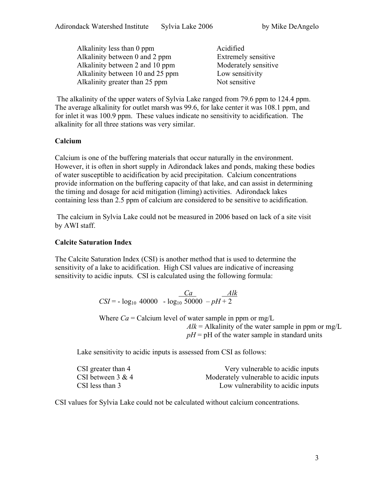| Alkalinity less than 0 ppm       | Acidified                  |
|----------------------------------|----------------------------|
| Alkalinity between 0 and 2 ppm   | <b>Extremely sensitive</b> |
| Alkalinity between 2 and 10 ppm  | Moderately sensitive       |
| Alkalinity between 10 and 25 ppm | Low sensitivity            |
| Alkalinity greater than 25 ppm   | Not sensitive              |

 The alkalinity of the upper waters of Sylvia Lake ranged from 79.6 ppm to 124.4 ppm. The average alkalinity for outlet marsh was 99.6, for lake center it was 108.1 ppm, and for inlet it was 100.9 ppm. These values indicate no sensitivity to acidification. The alkalinity for all three stations was very similar.

# **Calcium**

Calcium is one of the buffering materials that occur naturally in the environment. However, it is often in short supply in Adirondack lakes and ponds, making these bodies of water susceptible to acidification by acid precipitation. Calcium concentrations provide information on the buffering capacity of that lake, and can assist in determining the timing and dosage for acid mitigation (liming) activities. Adirondack lakes containing less than 2.5 ppm of calcium are considered to be sensitive to acidification.

 The calcium in Sylvia Lake could not be measured in 2006 based on lack of a site visit by AWI staff.

#### **Calcite Saturation Index**

The Calcite Saturation Index (CSI) is another method that is used to determine the sensitivity of a lake to acidification. High CSI values are indicative of increasing sensitivity to acidic inputs. CSI is calculated using the following formula:

$$
CSI = -\log_{10} 40000 - \log_{10} 50000 - pH + 2
$$

Where  $Ca =$  Calcium level of water sample in ppm or mg/L  $Alk = Alkalinity$  of the water sample in ppm or mg/L  $pH = pH$  of the water sample in standard units

Lake sensitivity to acidic inputs is assessed from CSI as follows:

| CSI greater than 4 | Very vulnerable to acidic inputs       |
|--------------------|----------------------------------------|
| CSI between 3 & 4  | Moderately vulnerable to acidic inputs |
| CSI less than 3    | Low vulnerability to acidic inputs     |

CSI values for Sylvia Lake could not be calculated without calcium concentrations.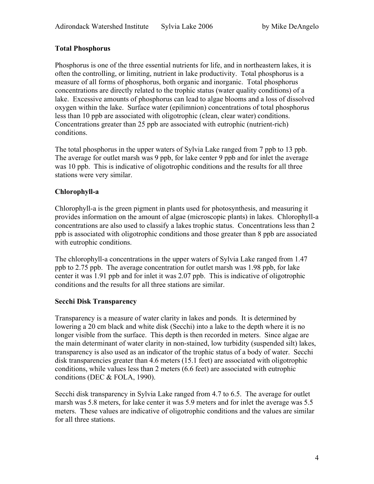#### **Total Phosphorus**

Phosphorus is one of the three essential nutrients for life, and in northeastern lakes, it is often the controlling, or limiting, nutrient in lake productivity. Total phosphorus is a measure of all forms of phosphorus, both organic and inorganic. Total phosphorus concentrations are directly related to the trophic status (water quality conditions) of a lake. Excessive amounts of phosphorus can lead to algae blooms and a loss of dissolved oxygen within the lake. Surface water (epilimnion) concentrations of total phosphorus less than 10 ppb are associated with oligotrophic (clean, clear water) conditions. Concentrations greater than 25 ppb are associated with eutrophic (nutrient-rich) conditions.

The total phosphorus in the upper waters of Sylvia Lake ranged from 7 ppb to 13 ppb. The average for outlet marsh was 9 ppb, for lake center 9 ppb and for inlet the average was 10 ppb. This is indicative of oligotrophic conditions and the results for all three stations were very similar.

# **Chlorophyll-a**

Chlorophyll-a is the green pigment in plants used for photosynthesis, and measuring it provides information on the amount of algae (microscopic plants) in lakes. Chlorophyll-a concentrations are also used to classify a lakes trophic status. Concentrations less than 2 ppb is associated with oligotrophic conditions and those greater than 8 ppb are associated with eutrophic conditions.

The chlorophyll-a concentrations in the upper waters of Sylvia Lake ranged from 1.47 ppb to 2.75 ppb. The average concentration for outlet marsh was 1.98 ppb, for lake center it was 1.91 ppb and for inlet it was 2.07 ppb. This is indicative of oligotrophic conditions and the results for all three stations are similar.

# **Secchi Disk Transparency**

Transparency is a measure of water clarity in lakes and ponds. It is determined by lowering a 20 cm black and white disk (Secchi) into a lake to the depth where it is no longer visible from the surface. This depth is then recorded in meters. Since algae are the main determinant of water clarity in non-stained, low turbidity (suspended silt) lakes, transparency is also used as an indicator of the trophic status of a body of water. Secchi disk transparencies greater than 4.6 meters (15.1 feet) are associated with oligotrophic conditions, while values less than 2 meters (6.6 feet) are associated with eutrophic conditions (DEC & FOLA, 1990).

Secchi disk transparency in Sylvia Lake ranged from 4.7 to 6.5. The average for outlet marsh was 5.8 meters, for lake center it was 5.9 meters and for inlet the average was 5.5 meters. These values are indicative of oligotrophic conditions and the values are similar for all three stations.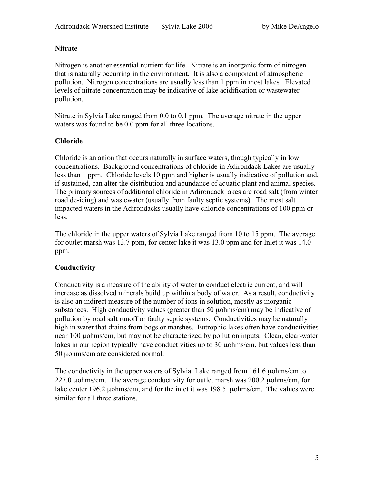# **Nitrate**

Nitrogen is another essential nutrient for life. Nitrate is an inorganic form of nitrogen that is naturally occurring in the environment. It is also a component of atmospheric pollution. Nitrogen concentrations are usually less than 1 ppm in most lakes. Elevated levels of nitrate concentration may be indicative of lake acidification or wastewater pollution.

Nitrate in Sylvia Lake ranged from 0.0 to 0.1 ppm. The average nitrate in the upper waters was found to be 0.0 ppm for all three locations.

# **Chloride**

Chloride is an anion that occurs naturally in surface waters, though typically in low concentrations. Background concentrations of chloride in Adirondack Lakes are usually less than 1 ppm. Chloride levels 10 ppm and higher is usually indicative of pollution and, if sustained, can alter the distribution and abundance of aquatic plant and animal species. The primary sources of additional chloride in Adirondack lakes are road salt (from winter road de-icing) and wastewater (usually from faulty septic systems). The most salt impacted waters in the Adirondacks usually have chloride concentrations of 100 ppm or less.

The chloride in the upper waters of Sylvia Lake ranged from 10 to 15 ppm. The average for outlet marsh was 13.7 ppm, for center lake it was 13.0 ppm and for Inlet it was 14.0 ppm.

# **Conductivity**

Conductivity is a measure of the ability of water to conduct electric current, and will increase as dissolved minerals build up within a body of water. As a result, conductivity is also an indirect measure of the number of ions in solution, mostly as inorganic substances. High conductivity values (greater than 50 uohms/cm) may be indicative of pollution by road salt runoff or faulty septic systems. Conductivities may be naturally high in water that drains from bogs or marshes. Eutrophic lakes often have conductivities near 100 µohms/cm, but may not be characterized by pollution inputs. Clean, clear-water lakes in our region typically have conductivities up to 30 uohms/cm, but values less than 50 µohms/cm are considered normal.

The conductivity in the upper waters of Sylvia Lake ranged from 161.6 µohms/cm to 227.0 µohms/cm. The average conductivity for outlet marsh was 200.2 µohms/cm, for lake center 196.2 uohms/cm, and for the inlet it was 198.5 uohms/cm. The values were similar for all three stations.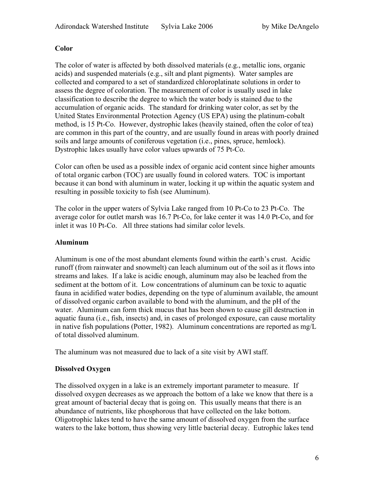# **Color**

The color of water is affected by both dissolved materials (e.g., metallic ions, organic acids) and suspended materials (e.g., silt and plant pigments). Water samples are collected and compared to a set of standardized chloroplatinate solutions in order to assess the degree of coloration. The measurement of color is usually used in lake classification to describe the degree to which the water body is stained due to the accumulation of organic acids. The standard for drinking water color, as set by the United States Environmental Protection Agency (US EPA) using the platinum-cobalt method, is 15 Pt-Co. However, dystrophic lakes (heavily stained, often the color of tea) are common in this part of the country, and are usually found in areas with poorly drained soils and large amounts of coniferous vegetation (i.e., pines, spruce, hemlock). Dystrophic lakes usually have color values upwards of 75 Pt-Co.

Color can often be used as a possible index of organic acid content since higher amounts of total organic carbon (TOC) are usually found in colored waters. TOC is important because it can bond with aluminum in water, locking it up within the aquatic system and resulting in possible toxicity to fish (see Aluminum).

The color in the upper waters of Sylvia Lake ranged from 10 Pt-Co to 23 Pt-Co. The average color for outlet marsh was 16.7 Pt-Co, for lake center it was 14.0 Pt-Co, and for inlet it was 10 Pt-Co. All three stations had similar color levels.

# **Aluminum**

Aluminum is one of the most abundant elements found within the earth's crust. Acidic runoff (from rainwater and snowmelt) can leach aluminum out of the soil as it flows into streams and lakes. If a lake is acidic enough, aluminum may also be leached from the sediment at the bottom of it. Low concentrations of aluminum can be toxic to aquatic fauna in acidified water bodies, depending on the type of aluminum available, the amount of dissolved organic carbon available to bond with the aluminum, and the pH of the water. Aluminum can form thick mucus that has been shown to cause gill destruction in aquatic fauna (i.e., fish, insects) and, in cases of prolonged exposure, can cause mortality in native fish populations (Potter, 1982). Aluminum concentrations are reported as mg/L of total dissolved aluminum.

The aluminum was not measured due to lack of a site visit by AWI staff.

# **Dissolved Oxygen**

The dissolved oxygen in a lake is an extremely important parameter to measure. If dissolved oxygen decreases as we approach the bottom of a lake we know that there is a great amount of bacterial decay that is going on. This usually means that there is an abundance of nutrients, like phosphorous that have collected on the lake bottom. Oligotrophic lakes tend to have the same amount of dissolved oxygen from the surface waters to the lake bottom, thus showing very little bacterial decay. Eutrophic lakes tend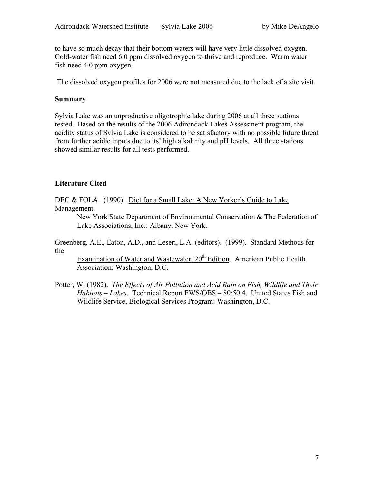to have so much decay that their bottom waters will have very little dissolved oxygen. Cold-water fish need 6.0 ppm dissolved oxygen to thrive and reproduce. Warm water fish need 4.0 ppm oxygen.

The dissolved oxygen profiles for 2006 were not measured due to the lack of a site visit.

#### **Summary**

Sylvia Lake was an unproductive oligotrophic lake during 2006 at all three stations tested. Based on the results of the 2006 Adirondack Lakes Assessment program, the acidity status of Sylvia Lake is considered to be satisfactory with no possible future threat from further acidic inputs due to its' high alkalinity and pH levels. All three stations showed similar results for all tests performed.

# **Literature Cited**

DEC & FOLA. (1990). Diet for a Small Lake: A New Yorker's Guide to Lake Management.

New York State Department of Environmental Conservation & The Federation of Lake Associations, Inc.: Albany, New York.

Greenberg, A.E., Eaton, A.D., and Leseri, L.A. (editors). (1999). Standard Methods for the

Examination of Water and Wastewater, 20<sup>th</sup> Edition. American Public Health Association: Washington, D.C.

Potter, W. (1982). *The Effects of Air Pollution and Acid Rain on Fish, Wildlife and Their Habitats – Lakes*. Technical Report FWS/OBS – 80/50.4. United States Fish and Wildlife Service, Biological Services Program: Washington, D.C.